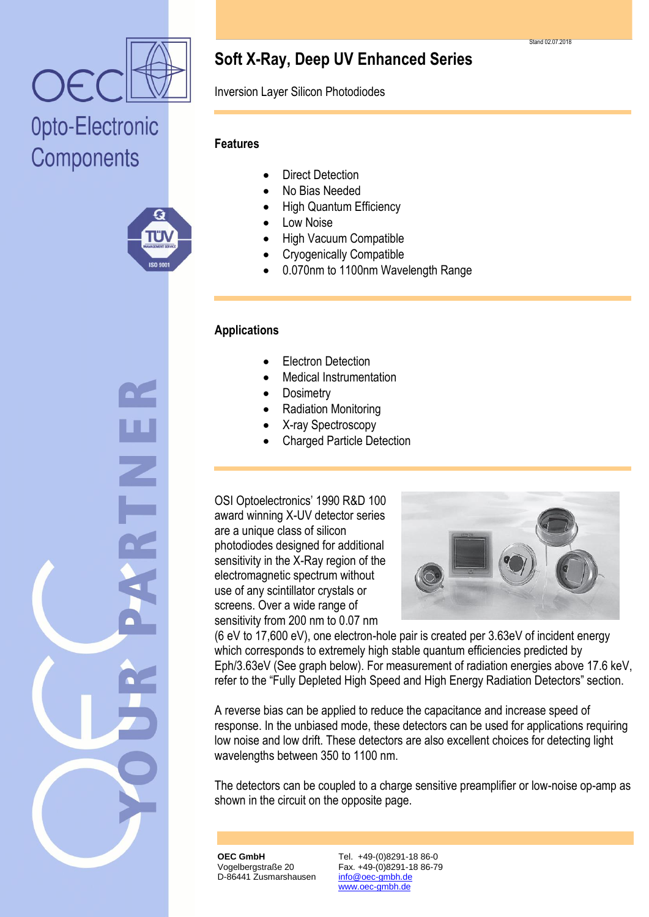

# Opto-Electronic Components



**Soft X-Ray, Deep UV Enhanced Series**

Inversion Layer Silicon Photodiodes

## **Features**

- Direct Detection
- No Bias Needed
- High Quantum Efficiency
- Low Noise
- High Vacuum Compatible
- Cryogenically Compatible
- 0.070nm to 1100nm Wavelength Range

## **Applications**

- Electron Detection
- Medical Instrumentation
- **Dosimetry**
- Radiation Monitoring
- X-ray Spectroscopy
- Charged Particle Detection

OSI Optoelectronics' 1990 R&D 100 award winning X-UV detector series are a unique class of silicon photodiodes designed for additional sensitivity in the X-Ray region of the electromagnetic spectrum without use of any scintillator crystals or screens. Over a wide range of sensitivity from 200 nm to 0.07 nm



(6 eV to 17,600 eV), one electron-hole pair is created per 3.63eV of incident energy which corresponds to extremely high stable quantum efficiencies predicted by Eph/3.63eV (See graph below). For measurement of radiation energies above 17.6 keV, refer to the "Fully Depleted High Speed and High Energy Radiation Detectors" section.

A reverse bias can be applied to reduce the capacitance and increase speed of response. In the unbiased mode, these detectors can be used for applications requiring low noise and low drift. These detectors are also excellent choices for detecting light wavelengths between 350 to 1100 nm.

The detectors can be coupled to a charge sensitive preamplifier or low-noise op-amp as shown in the circuit on the opposite page.

**OEC GmbH** Vogelbergstraße 20 D-86441 Zusmarshausen

Tel. +49-(0)8291-18 86-0 Fax. +49-(0)8291-18 86-79 info@oec-gmbh.de www.oec-gmbh.de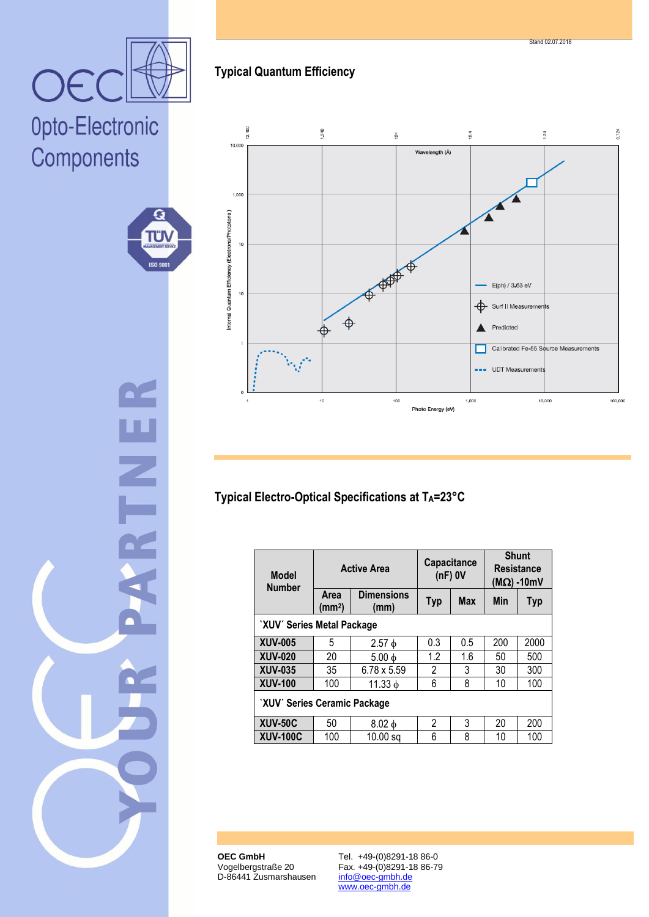**OEC GmbH** Vogelbergstraße 20 D-86441 Zusmarshausen

Tel. +49-(0)8291-18 86-0 Fax. +49-(0)8291-18 86-79 info@oec-gmbh.de www.oec-gmbh.de

# OE Opto-Electronic Components

G

**TÜN** 

**ISO 900** 

| ì. |
|----|
|    |
|    |
|    |
|    |
|    |
|    |

# **Typical Quantum Efficiency**



# **Typical Electro-Optical Specifications at TA=23°C**

| <b>Model</b><br><b>Number</b> | <b>Active Area</b>         |                           | <b>Capacitance</b><br>$(nF)$ OV |            | <b>Shunt</b><br><b>Resistance</b><br>(ΜΩ) -10mV |            |
|-------------------------------|----------------------------|---------------------------|---------------------------------|------------|-------------------------------------------------|------------|
|                               | Area<br>(mm <sup>2</sup> ) | <b>Dimensions</b><br>(mm) | <b>Typ</b>                      | <b>Max</b> | Min                                             | <b>Typ</b> |
| `XUV´ Series Metal Package    |                            |                           |                                 |            |                                                 |            |
| <b>XUV-005</b>                | 5                          | $2.57\ \phi$              | 0.3                             | 0.5        | 200                                             | 2000       |
| <b>XUV-020</b>                | 20                         | $5.00\ \phi$              | 1.2                             | 1.6        | 50                                              | 500        |
| <b>XUV-035</b>                | 35                         | 6.78 x 5.59               | 2                               | 3          | 30                                              | 300        |
| <b>XUV-100</b>                | 100                        | $11.33 \text{ }\phi$      | 6                               | 8          | 10                                              | 100        |
| 'XUV' Series Ceramic Package  |                            |                           |                                 |            |                                                 |            |
| <b>XUV-50C</b>                | 50                         | $8.02\ \text{d}$          | 2                               | 3          | 20                                              | 200        |
| <b>XUV-100C</b>               | 100                        | $10.00$ sq                | 6                               | 8          | 10                                              | 100        |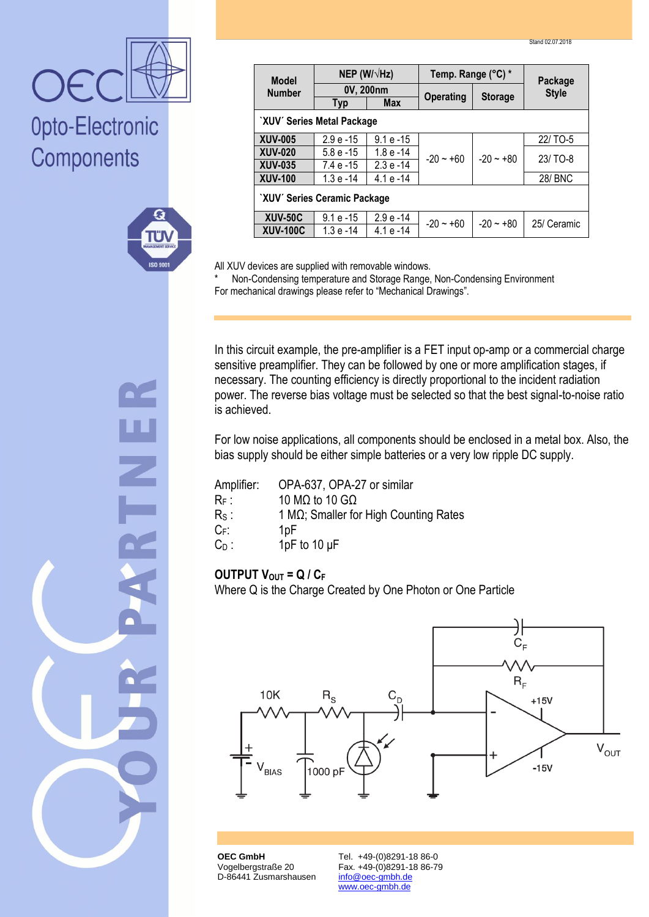| <b>Model</b>                 | NEP (W/ $\sqrt{Hz}$ ) |              | Temp. Range (°C) * |                | Package        |
|------------------------------|-----------------------|--------------|--------------------|----------------|----------------|
| <b>Number</b>                | 0V, 200nm             |              |                    |                | <b>Style</b>   |
|                              | Typ                   | <b>Max</b>   | <b>Operating</b>   | <b>Storage</b> |                |
| `XUV' Series Metal Package   |                       |              |                    |                |                |
| <b>XUV-005</b>               | $2.9e - 15$           | $9.1e - 15$  | $-20 - 60$         | $-20 - 80$     | 22/TO-5        |
| <b>XUV-020</b>               | $5.8e-15$             | $1.8e - 14$  |                    |                | 23/TO-8        |
| <b>XUV-035</b>               | $7.4e - 15$           | $2.3 e - 14$ |                    |                |                |
| <b>XUV-100</b>               | $1.3e - 14$           | $4.1 e - 14$ |                    |                | <b>28/ BNC</b> |
| 'XUV' Series Ceramic Package |                       |              |                    |                |                |
| <b>XUV-50C</b>               | $9.1 e - 15$          | $2.9e - 14$  | $-20 - 60$         | $-20 - +80$    | 25/ Ceramic    |
| <b>XUV-100C</b>              | $1.3e - 14$           | $4.1 e - 14$ |                    |                |                |

All XUV devices are supplied with removable windows.

Non-Condensing temperature and Storage Range, Non-Condensing Environment For mechanical drawings please refer to "Mechanical Drawings".

In this circuit example, the pre-amplifier is a FET input op-amp or a commercial charge sensitive preamplifier. They can be followed by one or more amplification stages, if necessary. The counting efficiency is directly proportional to the incident radiation power. The reverse bias voltage must be selected so that the best signal-to-noise ratio is achieved.

For low noise applications, all components should be enclosed in a metal box. Also, the bias supply should be either simple batteries or a very low ripple DC supply.

| Amplifier:    | OPA-637, OPA-27 or similar                     |
|---------------|------------------------------------------------|
| $R_F$ :       | 10 M $\Omega$ to 10 G $\Omega$                 |
| $R_{\rm S}$ : | 1 M $\Omega$ ; Smaller for High Counting Rates |
| $C_F$ :       | 1pF                                            |
| $C_D$ :       | 1pF to 10 $\mu$ F                              |

### **OUTPUT VOUT = Q / C<sup>F</sup>**

Where Q is the Charge Created by One Photon or One Particle



**OEC GmbH** Vogelbergstraße 20 D-86441 Zusmarshausen Tel. +49-(0)8291-18 86-0 Fax. +49-(0)8291-18 86-79 info@oec-gmbh.de www.oec-gmbh.de

Opto-Electronic

**ISO 900** 

Components